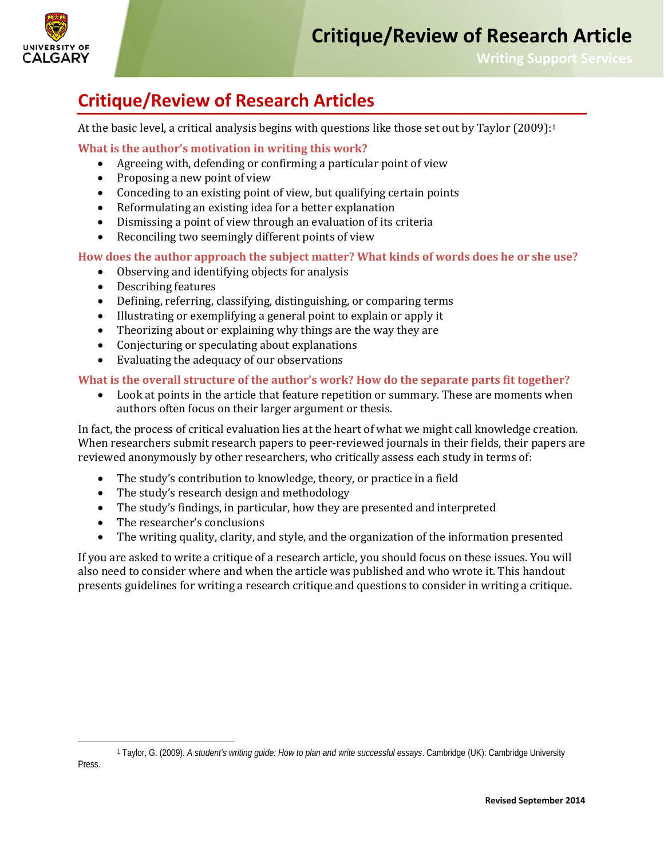

**Writing Support Services**

## **Critique/Review of Research Articles**

At the basic level, a critical analysis begins with questions like those set out by Taylor (2009):<sup>[1](#page-0-0)</sup>

**What is the author's motivation in writing this work?**

- Agreeing with, defending or confirming a particular point of view<br>• Proposing a new point of view
- Proposing a new point of view
- Conceding to an existing point of view, but qualifying certain points
- Reformulating an existing idea for a better explanation
- Dismissing a point of view through an evaluation of its criteria
- Reconciling two seemingly different points of view

**How does the author approach the subject matter? What kinds of words does he or she use?**

- Observing and identifying objects for analysis
- Describing features
- Defining, referring, classifying, distinguishing, or comparing terms
- Illustrating or exemplifying a general point to explain or apply it
- Theorizing about or explaining why things are the way they are
- Conjecturing or speculating about explanations
- Evaluating the adequacy of our observations

## **What is the overall structure of the author's work? How do the separate parts fit together?**

• Look at points in the article that feature repetition or summary. These are moments when authors often focus on their larger argument or thesis.

In fact, the process of critical evaluation lies at the heart of what we might call knowledge creation. When researchers submit research papers to peer-reviewed journals in their fields, their papers are reviewed anonymously by other researchers, who critically assess each study in terms of:

- The study's contribution to knowledge, theory, or practice in a field
- The study's research design and methodology
- The study's findings, in particular, how they are presented and interpreted
- The researcher's conclusions<br>• The writing quality, clarity, an
- The writing quality, clarity, and style, and the organization of the information presented

If you are asked to write a critique of a research article, you should focus on these issues. You will also need to consider where and when the article was published and who wrote it. This handout presents guidelines for writing a research critique and questions to consider in writing a critique.

<span id="page-0-0"></span> $\overline{a}$ 

<sup>1</sup> Taylor, G. (2009). *A student's writing guide: How to plan and write successful essays*. Cambridge (UK): Cambridge University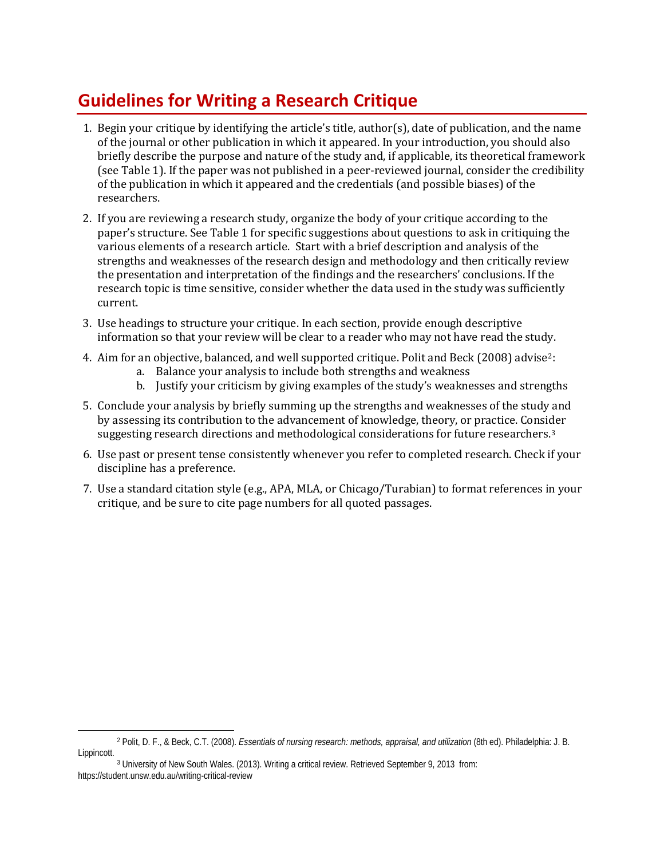## **Guidelines for Writing a Research Critique**

- 1. Begin your critique by identifying the article's title, author(s), date of publication, and the name of the journal or other publication in which it appeared. In your introduction, you should also briefly describe the purpose and nature of the study and, if applicable, its theoretical framework (see Table 1). If the paper was not published in a peer-reviewed journal, consider the credibility of the publication in which it appeared and the credentials (and possible biases) of the researchers.
- 2. If you are reviewing a research study, organize the body of your critique according to the paper's structure. See Table 1 for specific suggestions about questions to ask in critiquing the various elements of a research article. Start with a brief description and analysis of the strengths and weaknesses of the research design and methodology and then critically review the presentation and interpretation of the findings and the researchers' conclusions. If the research topic is time sensitive, consider whether the data used in the study was sufficiently current.
- 3. Use headings to structure your critique. In each section, provide enough descriptive information so that your review will be clear to a reader who may not have read the study.
- 4. Aim for an objective, balanced, and well supported critique. Polit and Beck (2008) advise[2:](#page-1-0)
	- a. Balance your analysis to include both strengths and weakness
	- b. Justify your criticism by giving examples of the study's weaknesses and strengths
- 5. Conclude your analysis by briefly summing up the strengths and weaknesses of the study and by assessing its contribution to the advancement of knowledge, theory, or practice. Consi[de](#page-1-1)r suggesting research directions and methodological considerations for future researchers.<sup>3</sup>
- 6. Use past or present tense consistently whenever you refer to completed research. Check if your discipline has a preference.
- 7. Use a standard citation style (e.g., APA, MLA, or Chicago/Turabian) to format references in your critique, and be sure to cite page numbers for all quoted passages.

<span id="page-1-0"></span> $\ddot{ }$ <sup>2</sup> Polit, D. F., & Beck, C.T. (2008). *Essentials of nursing research: methods, appraisal, and utilization* (8th ed). Philadelphia: J. B. Lippincott.

<span id="page-1-1"></span><sup>3</sup> University of New South Wales. (2013). Writing a critical review. Retrieved September 9, 2013 from: https://student.unsw.edu.au/writing-critical-review